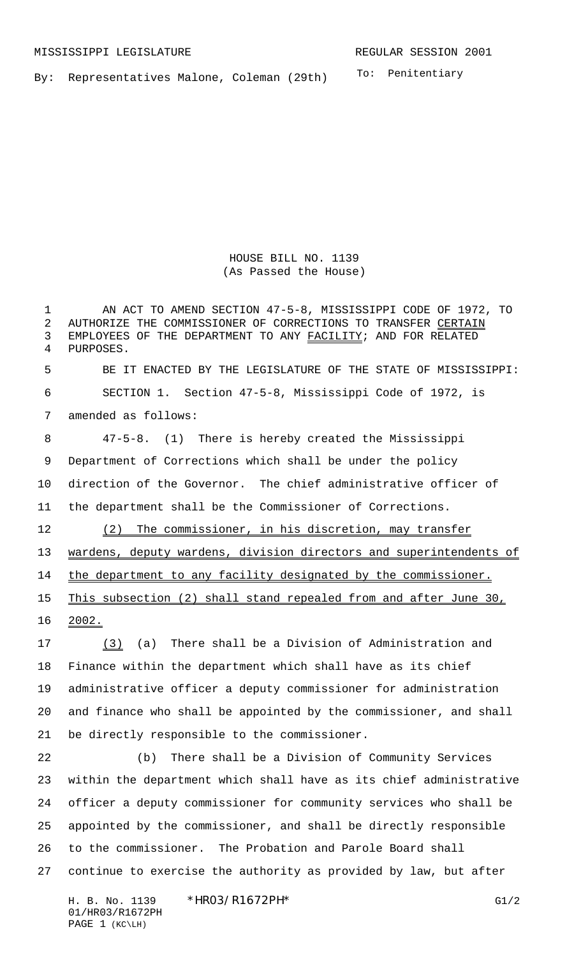To: Penitentiary By: Representatives Malone, Coleman (29th)

> HOUSE BILL NO. 1139 (As Passed the House)

AN ACT TO AMEND SECTION 47-5-8, MISSISSIPPI CODE OF 1972, TO

 AUTHORIZE THE COMMISSIONER OF CORRECTIONS TO TRANSFER CERTAIN EMPLOYEES OF THE DEPARTMENT TO ANY FACILITY; AND FOR RELATED PURPOSES. BE IT ENACTED BY THE LEGISLATURE OF THE STATE OF MISSISSIPPI: SECTION 1. Section 47-5-8, Mississippi Code of 1972, is amended as follows: 47-5-8. (1) There is hereby created the Mississippi Department of Corrections which shall be under the policy direction of the Governor. The chief administrative officer of the department shall be the Commissioner of Corrections. 12 (2) The commissioner, in his discretion, may transfer 13 wardens, deputy wardens, division directors and superintendents of 14 the department to any facility designated by the commissioner. This subsection (2) shall stand repealed from and after June 30, 2002. (3) (a) There shall be a Division of Administration and Finance within the department which shall have as its chief administrative officer a deputy commissioner for administration and finance who shall be appointed by the commissioner, and shall be directly responsible to the commissioner. (b) There shall be a Division of Community Services within the department which shall have as its chief administrative officer a deputy commissioner for community services who shall be appointed by the commissioner, and shall be directly responsible to the commissioner. The Probation and Parole Board shall continue to exercise the authority as provided by law, but after

H. B. No. 1139 \* HRO3/R1672PH \* The Contract of the G1/2 01/HR03/R1672PH PAGE 1 (KC\LH)